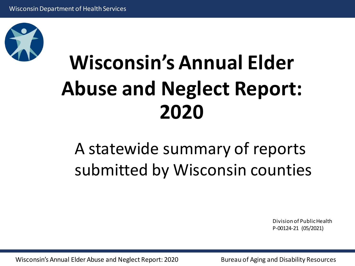

# **Wisconsin's Annual Elder Abuse and Neglect Report: 2020**

### A statewide summary of reports submitted by Wisconsin counties

Division of PublicHealth P-00124-21 (05/2021)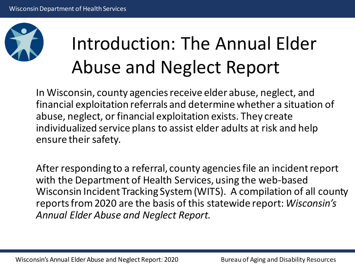

# Introduction: The Annual Elder Abuse and Neglect Report

In Wisconsin, county agencies receive elder abuse, neglect, and financial exploitation referrals and determine whether a situation of abuse, neglect, or financial exploitation exists. They create individualized service plans to assist elder adults at risk and help ensure their safety.

After responding to a referral, county agencies file an incident report with the Department of Health Services, using the web-based Wisconsin Incident Tracking System (WITS). A compilation of all county reports from 2020 are the basis of this statewide report: *Wisconsin's Annual Elder Abuse and Neglect Report.*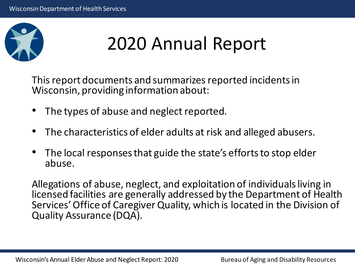

## 2020 Annual Report

This report documents and summarizes reported incidents in Wisconsin, providing information about:

- The types of abuse and neglect reported.
- The characteristics of elder adults at risk and alleged abusers.
- The local responses that guide the state's efforts to stop elder abuse.

Allegations of abuse, neglect, and exploitation of individuals living in licensed facilities are generally addressed by the Department of Health Services' Office of Caregiver Quality, which is located in the Division of Quality Assurance (DQA).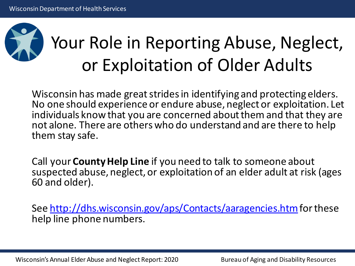

## Your Role in Reporting Abuse, Neglect, or Exploitation of Older Adults

Wisconsin has made great strides in identifying and protecting elders. No one should experience or endure abuse, neglect or exploitation. Let individuals know that you are concerned about them and that they are not alone. There are others who do understand and are there to help them stay safe.

Call your **County Help Line** if you need to talk to someone about suspected abuse, neglect, or exploitation of an elder adult at risk (ages 60 and older).

See<http://dhs.wisconsin.gov/aps/Contacts/aaragencies.htm> for these help line phone numbers.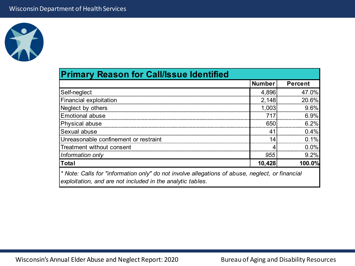

|                                       | <b>Number</b> | <b>Percent</b> |
|---------------------------------------|---------------|----------------|
| Self-neglect                          | 4,896         | 47.0%          |
| <b>Financial exploitation</b>         | 2,148         | 20.6%          |
| Neglect by others                     | 1,003         | 9.6%           |
| <b>Emotional abuse</b>                | 717           | 6.9%           |
| Physical abuse                        | 650           | 6.2%           |
| Sexual abuse                          | $4^{\circ}$   | 0.4%           |
| Unreasonable confinement or restraint |               | 0.1%           |
| Treatment without consent             |               | 0.0%           |
| Information only                      | 955           | 9.2%           |
| <b>Total</b>                          | 10,428        | 100.0%         |

*exploitation, and are not included in the analytic tables.*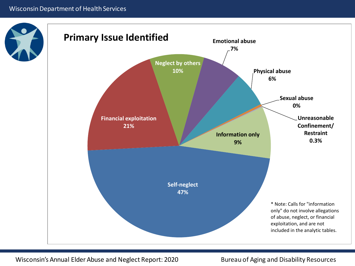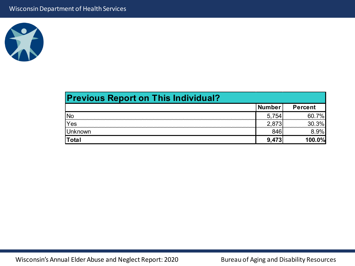

| <b>Previous Report on This Individual?</b> |        |                |
|--------------------------------------------|--------|----------------|
|                                            | Number | <b>Percent</b> |
| <b>No</b>                                  | 5.754  | 7%             |
| Yes                                        | ' 873  | 3%             |
| <b>Unknown</b>                             |        | 3.9%l          |
| Total                                      | 9.473  | 100.0%         |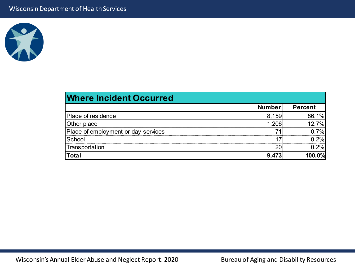

| <b>Where Incident Occurred</b>      |        |                |
|-------------------------------------|--------|----------------|
|                                     | Number | <b>Percent</b> |
| <b>Place of residence</b>           | 8,159  | 86.1%          |
| Other place                         | 1 206  | 12.7%          |
| Place of employment or day services |        | $0.7\%$        |
| School                              |        | $0.2\%$        |
| Transportation                      |        | 0.2%           |
| <b>Total</b>                        | 9.473  | 100.0%         |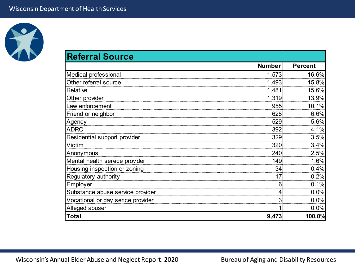

| <b>Referral Source</b>            |               |                |
|-----------------------------------|---------------|----------------|
|                                   | <b>Number</b> | <b>Percent</b> |
| Medical professional              | 1,573         | 16.6%          |
| Other referral source             | 1,493         | 15.8%          |
| Relative                          | 1,481         | 15.6%          |
| Other provider                    | 1,319         | 13.9%          |
| Law enforcement                   | 955           | 10.1%          |
| Friend or neighbor                | 628           | 6.6%           |
| Agency                            | 529           | 5.6%           |
| <b>ADRC</b>                       | 392           | 4.1%           |
| Residential support provider      | 329           | 3.5%           |
| Victim                            | 320           | 3.4%           |
| Anonymous                         | 240           | 2.5%           |
| Mental health service provider    | 149           | 1.6%           |
| Housing inspection or zoning      | 34            | 0.4%           |
| Regulatory authority              | 17            | 0.2%           |
| Employer                          | 6             | 0.1%           |
| Substance abuse service provider  |               | 0.0%           |
| Vocational or day serice provider | 3             | 0.0%           |
| Alleged abuser                    |               | 0.0%           |
| <b>Total</b>                      | 9,473         | 100.0%         |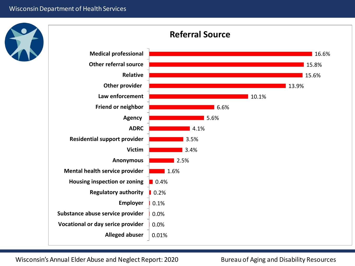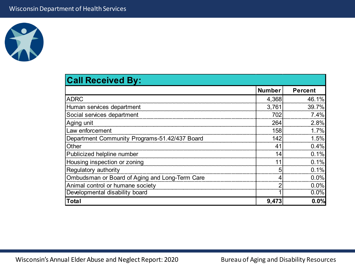

| <b>Call Received By:</b>                       |                |                |
|------------------------------------------------|----------------|----------------|
|                                                | <b>Number</b>  | <b>Percent</b> |
| <b>ADRC</b>                                    | 4,368          | 46.1%          |
| Human services department                      | 3,761          | 39.7%          |
| Social services department                     | 702            | 7.4%           |
| Aging unit                                     | 264            | 2.8%           |
| Law enforcement                                | 158            | 1.7%           |
| Department Community Programs-51.42/437 Board  | 142            | 1.5%           |
| Other                                          | 4 <sup>1</sup> | 0.4%           |
| Publicized helpline number                     | 14             | 0.1%           |
| Housing inspection or zoning                   |                | 0.1%           |
| Regulatory authority                           | 5              | 0.1%           |
| Ombudsman or Board of Aging and Long-Term Care |                | 0.0%           |
| Animal control or humane society               |                | 0.0%           |
| Developmental disability board                 |                | 0.0%           |
| Total                                          | 9,473          | 0.0%           |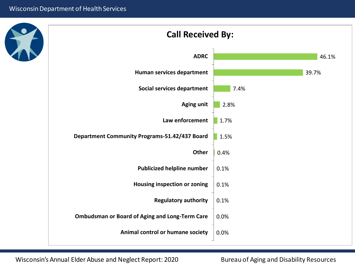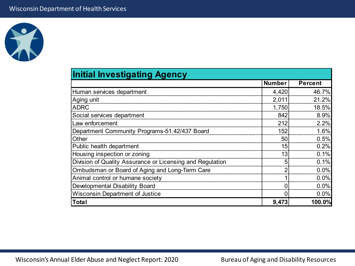

| <b>Initial Investigating Agency</b>                       |               |                |
|-----------------------------------------------------------|---------------|----------------|
|                                                           | <b>Number</b> | <b>Percent</b> |
| Human services department                                 | 4,420         | 46.7%          |
| Aging unit                                                | 2,011         | 21.2%          |
| <b>ADRC</b>                                               | 1,750         | 18.5%          |
| Social services department                                | 842           | 8.9%           |
| Law enforcement                                           | 212           | 2.2%           |
| Department Community Programs-51.42/437 Board             | 152           | 1.6%           |
| Other                                                     | 50            | 0.5%           |
| Public health department                                  | 15            | 0.2%           |
| Housing inspection or zoning                              | 13            | 0.1%           |
| Division of Quality Assurance or Licensing and Regulation |               | 0.1%           |
| Ombudsman or Board of Aging and Long-Term Care            |               | 0.0%           |
| Animal control or humane society                          |               | 0.0%           |
| Developmental Disability Board                            |               | 0.0%           |
| <b>Wisconsin Department of Justice</b>                    |               | 0.0%           |
| Total                                                     | 9,473         | 100.0%         |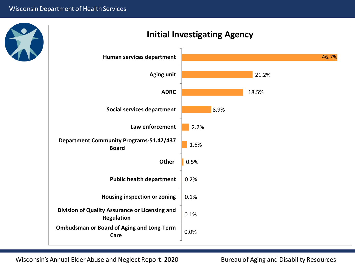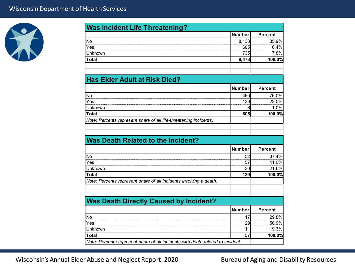

| <b>Was Incident Life Threatening?</b>                                                                          | <b>Number</b> | <b>Percent</b>                    |
|----------------------------------------------------------------------------------------------------------------|---------------|-----------------------------------|
| <b>No</b>                                                                                                      | 8,133         | 85.9%                             |
| Yes                                                                                                            | 605           | 6.4%                              |
| Unknown                                                                                                        | 735           | 7.8%                              |
| Total                                                                                                          | 9,473         | 100.0%                            |
|                                                                                                                |               |                                   |
| <b>Has Elder Adult at Risk Died?</b>                                                                           |               |                                   |
|                                                                                                                | <b>Number</b> | <b>Percent</b>                    |
| <b>No</b>                                                                                                      | 460           | 76.0%                             |
| Yes                                                                                                            | 139           | 23.0%                             |
| Unknown                                                                                                        | 6             | 1.0%                              |
| <b>Total</b>                                                                                                   | 605           | 100.0%                            |
|                                                                                                                |               |                                   |
| Note: Percents represent share of all life-threatening incidents.<br><b>Was Death Related to the Incident?</b> |               |                                   |
|                                                                                                                | <b>Number</b> | <b>Percent</b>                    |
|                                                                                                                | 52            |                                   |
| Yes                                                                                                            | 57            |                                   |
| Unknown                                                                                                        | 30            |                                   |
| <b>No</b><br>Total                                                                                             | 139           | 37.4%<br>41.0%<br>21.6%<br>100.0% |
| Note: Percents represent share of all incidents involving a death.                                             |               |                                   |
|                                                                                                                |               |                                   |
| <b>Was Death Directly Caused by Incident?</b>                                                                  |               |                                   |
|                                                                                                                | <b>Number</b> | <b>Percent</b>                    |
|                                                                                                                | 17            |                                   |
| <b>No</b><br>Yes                                                                                               | 29            |                                   |
| Unknown                                                                                                        | 11            | 29.8%<br>50.9%<br>19.3%           |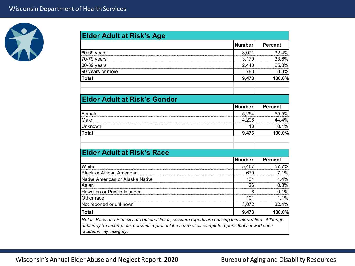

| <b>Elder Adult at Risk's Age</b>                                                                      |               |                |
|-------------------------------------------------------------------------------------------------------|---------------|----------------|
|                                                                                                       | <b>Number</b> | <b>Percent</b> |
| 60-69 years                                                                                           | 3,071         | 32.4%          |
| 70-79 years                                                                                           | 3,179         | 33.6%          |
| 80-89 years                                                                                           | 2,440         | 25.8%          |
| 90 years or more                                                                                      | 783           | 8.3%           |
| <b>Total</b>                                                                                          | 9,473         | 100.0%         |
|                                                                                                       |               |                |
| <b>Elder Adult at Risk's Gender</b>                                                                   |               |                |
|                                                                                                       | <b>Number</b> | <b>Percent</b> |
| Female                                                                                                | 5,254         | 55.5%          |
| Male                                                                                                  | 4,206         | 44.4%          |
| Unknown                                                                                               | 13            | 0.1%           |
| <b>Total</b>                                                                                          | 9,473         | 100.0%         |
|                                                                                                       |               |                |
|                                                                                                       |               |                |
| <b>Elder Adult at Risk's Race</b>                                                                     |               |                |
|                                                                                                       | <b>Number</b> | <b>Percent</b> |
| White                                                                                                 | 5,467         | 57.7%          |
| <b>Black or African American</b>                                                                      | 670           | 7.1%           |
| Native American or Alaska Native                                                                      | 131           | 1.4%           |
| Asian                                                                                                 | 26            | 0.3%           |
| Hawaiian or Pacific Islander                                                                          | 6             | 0.1%           |
| Other race                                                                                            | 101           | 1.1%           |
| Not reported or unknown                                                                               | 3,072         | 32.4%          |
| Total                                                                                                 | 9,473         | 100.0%         |
| Notes: Race and Ethnicity are optional fields, so some reports are missing this information. Although |               |                |
| data may be incomplete, percents represent the share of all complete reports that showed each         |               |                |
| race/ethnicity category.                                                                              |               |                |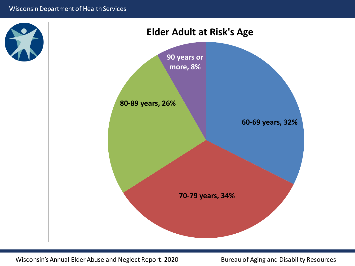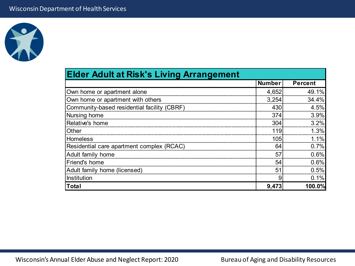

| <b>Elder Adult at Risk's Living Arrangement</b> |               |                |
|-------------------------------------------------|---------------|----------------|
|                                                 | <b>Number</b> | <b>Percent</b> |
| Own home or apartment alone                     | 4,652         | 49.1%          |
| Own home or apartment with others               | 3,254         | 34.4%          |
| Community-based residential facility (CBRF)     | 430           | 4.5%           |
| Nursing home                                    | 374           | 3.9%           |
| Relative's home                                 | 304           | 3.2%           |
| Other                                           | 119           | 1.3%           |
| <b>Homeless</b>                                 | 105           | 1.1%           |
| Residential care apartment complex (RCAC)       | 64            | 0.7%           |
| Adult family home                               | 57            | 0.6%           |
| Friend's home                                   | 54            | 0.6%           |
| Adult family home (licensed)                    | 51            | 0.5%           |
| Institution                                     |               | 0.1%           |
| <b>Total</b>                                    | 9,473         | 100.0%         |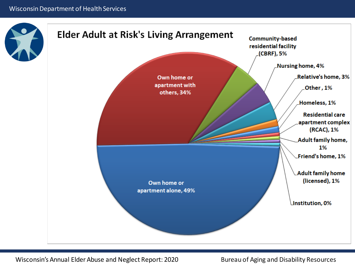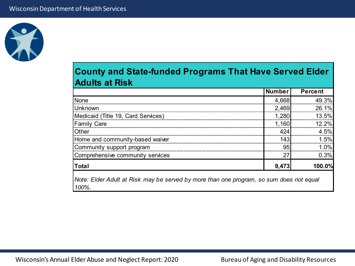

#### **County and State-funded Programs That Have Served Elder Adults at Risk**

|                                                                                                 | <b>Number</b> | <b>Percent</b> |
|-------------------------------------------------------------------------------------------------|---------------|----------------|
| None                                                                                            | 4,668         | 49.3%          |
| <b>Unknown</b>                                                                                  | 2,469         | 26.1%          |
| Medicaid (Title 19, Card Services)                                                              | 1,280         | 13.5%          |
| <b>Family Care</b>                                                                              | 1,160         | $12.2\%$       |
| Other                                                                                           | 424           | 4.5%           |
| Home and community-based waiver                                                                 | 143           | 1.5%           |
| Community support program                                                                       | 95            | 1.0%           |
| Comprehensive community services                                                                | 27            | 0.3%           |
| <b>Total</b>                                                                                    | 9,473         | 100.0%         |
| Note: Elder Adult at Risk may be served by more than one program, so sum does not equal<br>100% |               |                |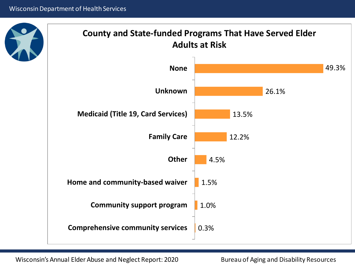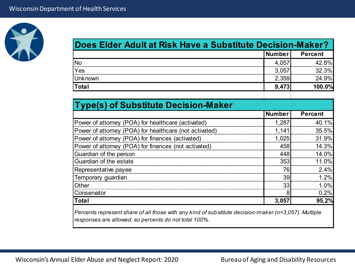

| Does Elder Adult at Risk Have a Substitute Decision-Maker? |               |                |
|------------------------------------------------------------|---------------|----------------|
|                                                            | <b>Number</b> | <b>Percent</b> |
| <b>No</b>                                                  | 4,057         | 42.8%          |
| Yes                                                        | 3,057         | 32.3%          |
| Unknown                                                    | 2,359         | 24.9%          |
| <b>Total</b>                                               | 9,473         | 100.0%         |
|                                                            |               |                |
| <b>Type(s) of Substitute Decision-Maker</b>                |               |                |
|                                                            | <b>Number</b> | <b>Percent</b> |
| Power of attorney (POA) for healthcare (activated)         | 1,287         | 40.1%          |
| Power of attorney (POA) for healthcare (not activated)     | 1,141         | 35.5%          |
| Power of attorney (POA) for finances (activated)           | 1,025         | 31.9%          |
| Power of attorney (POA) for finances (not activated)       | 458           | 14.3%          |
| Guardian of the person                                     | 448           | 14.0%          |
| Guardian of the estate                                     | 353           | 11.0%          |
| Representative payee                                       | 76            | 2.4%           |
| Temporary guardian                                         | 39            | 1.2%           |
| Other                                                      | 33            | 1.0%           |
| Conservator                                                | 8             | 0.2%           |
| <b>Total</b>                                               | 3,057         | 95.2%          |
|                                                            |               |                |

*Percents represent share of all those with any kind of substitute decision-maker (n=3,057). Multiple responses are allowed, so percents do not total 100%.*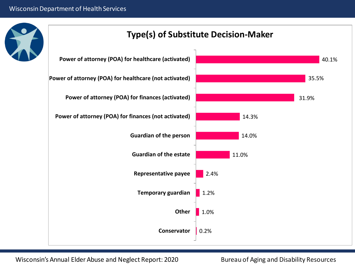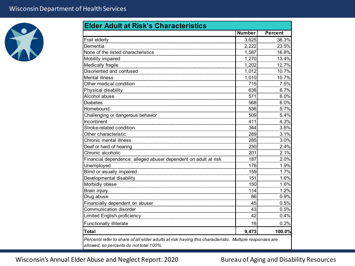

| <b>Elder Adult at Risk's Characteristics</b>                                                           |               |                |
|--------------------------------------------------------------------------------------------------------|---------------|----------------|
|                                                                                                        | <b>Number</b> | <b>Percent</b> |
| Frail elderly                                                                                          | 3,625         | 38.3%          |
| Dementia                                                                                               | 2,222         | 23.5%          |
| None of the listed characteristics                                                                     | 1,587         | 16.8%          |
| Mobility impaired                                                                                      | 1,270         | 13.4%          |
| Medically fragile                                                                                      | 1,202         | 12.7%          |
| Disoriented and confused                                                                               | 1,012         | 10.7%          |
| <b>Mental illness</b>                                                                                  | 1,010         | 10.7%          |
| Other medical condition                                                                                | 715           | 7.5%           |
| Physical disability                                                                                    | 638           | 6.7%           |
| Alcohol abuse                                                                                          | 571           | 6.0%           |
| <b>Diabetes</b>                                                                                        | 568           | 6.0%           |
| Homebound                                                                                              | 536           | 5.7%           |
| Challenging or dangerous behavior                                                                      | 509           | 5.4%           |
| Incontinent                                                                                            | 411           | 4.3%           |
| Stroke-related condition                                                                               | 344           | 3.6%           |
| Other characteristic                                                                                   | 289           | 3.1%           |
| Chronic mental illness                                                                                 | 285           | 3.0%           |
| Deaf or hard of hearing                                                                                | 230           | 2.4%           |
| Chronic alcoholic                                                                                      | 201           | 2.1%           |
| Financial dependence: alleged abuser dependent on adult at risk                                        | 187           | 2.0%           |
| Unemployed                                                                                             | 176           | 1.9%           |
| Blind or visually impaired                                                                             | 159           | 1.7%           |
| Developmental disability                                                                               | 151           | 1.6%           |
| Morbidly obese                                                                                         | 150           | 1.6%           |
| Brain injury                                                                                           | 114           | 1.2%           |
| Drug abuse                                                                                             | 86            | 0.9%           |
| Financially dependent on abuser                                                                        | 45            | 0.5%           |
| Communication disorder                                                                                 | 43            | 0.5%           |
| <b>Limited English proficiency</b>                                                                     | 42            | 0.4%           |
| <b>Functionally illiterate</b>                                                                         | 16            | 0.2%           |
| Total                                                                                                  | 9,473         | 100.0%         |
| Percents refer to share of all elder adults at risk having this characteristic. Multiple responses are |               |                |
| allowed, so percents do not total 100%.                                                                |               |                |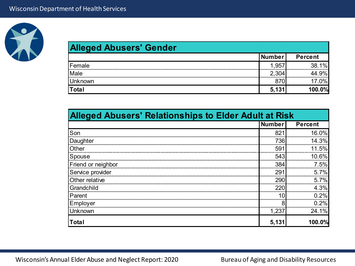

| <b>Alleged Abusers' Gender</b> |               |                |
|--------------------------------|---------------|----------------|
|                                | <b>Number</b> | <b>Percent</b> |
| <b>Female</b>                  | 1,957         | 38.1%          |
| Male                           | 2,304         | 44.9%          |
| <b>Unknown</b>                 | 870           | 17.0%          |
| <b>Total</b>                   | 5,131         | 100.0%         |

| <b>Alleged Abusers' Relationships to Elder Adult at Risk</b> |               |                |
|--------------------------------------------------------------|---------------|----------------|
|                                                              | <b>Number</b> | <b>Percent</b> |
| Son                                                          | 821           | 16.0%          |
| Daughter                                                     | 736           | 14.3%          |
| Other                                                        | 591           | 11.5%          |
| Spouse                                                       | 543           | 10.6%          |
| Friend or neighbor                                           | 384           | 7.5%           |
| Service provider                                             | 291           | 5.7%           |
| Other relative                                               | 290           | 5.7%           |
| Grandchild                                                   | 220           | 4.3%           |
| Parent                                                       | 1∩            | 0.2%           |
| Employer                                                     |               | 0.2%           |
| Unknown                                                      | 1.237         | 24.1%          |
| Total                                                        | 5,131         | 100.0%         |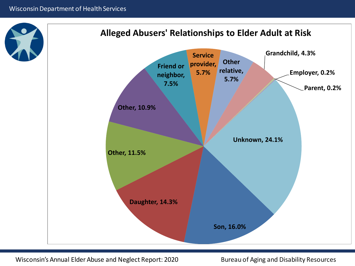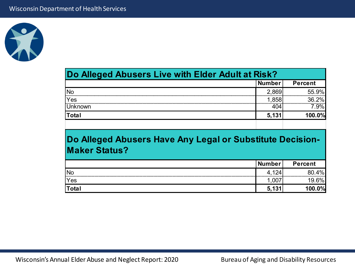

| Do Alleged Abusers Live with Elder Adult at Risk? |               |                |
|---------------------------------------------------|---------------|----------------|
|                                                   | <b>Number</b> | <b>Percent</b> |
| No                                                | 2,869.        | 55.9%          |
| Yes                                               | .858          | 36.2%          |
| <b>Jnknown</b>                                    |               | $.9\%$         |
| <b>Total</b>                                      | 5,131         | 100.0%         |

#### **Do Alleged Abusers Have Any Legal or Substitute Decision-Maker Status?**

|                 | <b>Number</b> | <b>Percent</b> |
|-----------------|---------------|----------------|
| <sup>I</sup> Nc |               | 10/2           |
| Yes             |               |                |
|                 |               |                |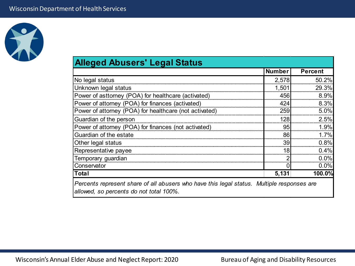

# **Alleged Abusers' Legal Status**

| No legal status                                                                                                                       | 2,578 | 50.2%   |
|---------------------------------------------------------------------------------------------------------------------------------------|-------|---------|
| Unknown legal status                                                                                                                  | 1,501 | 29.3%   |
| Power of asttorney (POA) for healthcare (activated)                                                                                   | 456   | 8.9%    |
| Power of attorney (POA) for finances (activated)                                                                                      | 424   | 8.3%    |
| Power of attorney (POA) for healthcare (not activated)                                                                                | 259   | 5.0%    |
| Guardian of the person                                                                                                                | 128   | 2.5%    |
| Power of attorney (POA) for finances (not activated)                                                                                  | 95    | 1.9%    |
| Guardian of the estate                                                                                                                | 86    | 1.7%    |
| Other legal status                                                                                                                    | 39    | 0.8%    |
| Representative payee                                                                                                                  | 18    | $0.4\%$ |
| Temporary guardian                                                                                                                    |       | 0.0%    |
| Conservator                                                                                                                           |       | 0.0%    |
| Total                                                                                                                                 | 5,131 | 100.0%  |
| Percents represent share of all abusers who have this legal status. Multiple responses are<br>allowed, so percents do not total 100%. |       |         |
|                                                                                                                                       |       |         |

**Number Percent**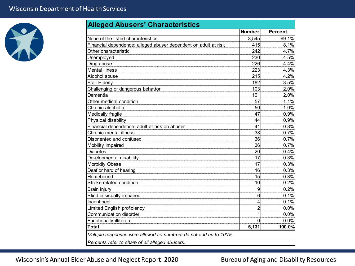

|                                                                                                                      | <b>Number</b> | <b>Percent</b> |
|----------------------------------------------------------------------------------------------------------------------|---------------|----------------|
| None of the listed characteristics                                                                                   | 3,545         | 69.1%          |
| Financial dependence: alleged abuser dependent on adult at risk                                                      | 415           | 8.1%           |
| Other characteristic                                                                                                 | 242           | 4.7%           |
| Unemployed                                                                                                           | 230           | 4.5%           |
| Drug abuse                                                                                                           | 226           | 4.4%           |
| <b>Mental Illness</b>                                                                                                | 223           | 4.3%           |
| Alcohol abuse                                                                                                        | 215           | 4.2%           |
| <b>Frail Elderly</b>                                                                                                 | 182           | 3.5%           |
| Challenging or dangerous behavior                                                                                    | 103           | 2.0%           |
| Dementia                                                                                                             | 101           | 2.0%           |
| Other medical condition                                                                                              | 57            | 1.1%           |
| Chronic alcoholic                                                                                                    | 50            | 1.0%           |
| Medically fragile                                                                                                    | 47            | 0.9%           |
| Physical disability                                                                                                  | 44            | 0.9%           |
| Financial dependence: adult at risk on abuser                                                                        | 41            | 0.8%           |
| Chronic mental illness                                                                                               | 38            | 0.7%           |
| Disoriented and confused                                                                                             | 36            | 0.7%           |
| Mobility impaired                                                                                                    | 36            | 0.7%           |
| <b>Diabetes</b>                                                                                                      | 20            | 0.4%           |
| Developmental disability                                                                                             | 17            | 0.3%           |
| Morbidly Obese                                                                                                       | 17            | 0.3%           |
| Deaf or hard of hearing                                                                                              | 16            | 0.3%           |
| Homebound                                                                                                            | 15            | 0.3%           |
| Stroke-related condition                                                                                             | 10            | 0.2%           |
| Brain injury                                                                                                         | 9             | 0.2%           |
| Blind or visually impaired                                                                                           | 6             | 0.1%           |
| Incontinent                                                                                                          | 4             | 0.1%           |
| Limited English proficiency                                                                                          | 2             | 0.0%           |
| Communication disorder                                                                                               | 1             | 0.0%           |
| Functionally illiterate                                                                                              | 0             | 0.0%           |
| Total                                                                                                                | 5,131         | 100.0%         |
| Multiple responses were allowed so numbers do not add up to 100%.<br>Percents refer to share of all alleged abusers. |               |                |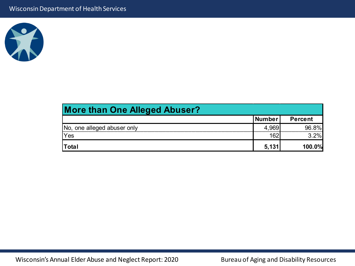

| <b>More than One Alleged Abuser?</b> |        |                |
|--------------------------------------|--------|----------------|
|                                      | Number | <b>Percent</b> |
| INo, one alleged abuser only         | 4,969  | 96.8%          |
| Yes                                  | 162    | 3.2%           |
| Total                                | 5,131  | 100.0%         |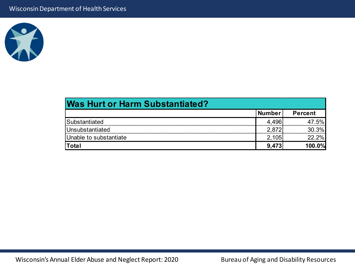

| <b>Was Hurt or Harm Substantiated?</b> |        |                |
|----------------------------------------|--------|----------------|
|                                        | Number | <b>Percent</b> |
| <b>Substantiated</b>                   |        | 47.5%          |
| Unsubstantiated                        | 2.872  | 30.3%          |
| Unable to substantiate                 |        | 22.2%          |
| <b>Total</b>                           | 9.473  | 100.0%         |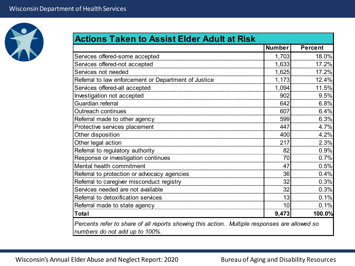

| <b>Actions Taken to Assist Elder Adult at Risk</b>                                                                              |               |                |
|---------------------------------------------------------------------------------------------------------------------------------|---------------|----------------|
|                                                                                                                                 | <b>Number</b> | <b>Percent</b> |
| Services offered-some accepted                                                                                                  | 1,703         | 18.0%          |
| Services offered-not accepted                                                                                                   | 1,633         | 17.2%          |
| Services not needed                                                                                                             | 1,625         | 17.2%          |
| Referral to law enforcement or Department of Justice                                                                            | 1,173         | 12.4%          |
| Services offered-all accepted                                                                                                   | 1,094         | 11.5%          |
| Investigation not accepted                                                                                                      | 902           | 9.5%           |
| Guardian referral                                                                                                               | 642           | 6.8%           |
| <b>Outreach continues</b>                                                                                                       | 607           | 6.4%           |
| Referral made to other agency                                                                                                   | 599           | 6.3%           |
| Protective services placement                                                                                                   | 447           | 4.7%           |
| Other disposition                                                                                                               | 400           | 4.2%           |
| Other legal action                                                                                                              | 217           | 2.3%           |
| Referral to regulatory authority                                                                                                | 82            | 0.9%           |
| Response or investigation continues                                                                                             | 70            | 0.7%           |
| Mental health commitment                                                                                                        | 47            | 0.5%           |
| Referral to protection or advocacy agencies                                                                                     | 36            | 0.4%           |
| Referral to caregiver misconduct registry                                                                                       | 32            | 0.3%           |
| Services needed are not available                                                                                               | 32            | 0.3%           |
| Referral to detoxification services                                                                                             | 13            | 0.1%           |
| Referral made to state agency                                                                                                   | 10            | 0.1%           |
| <b>Total</b>                                                                                                                    | 9,473         | 100.0%         |
| Percents refer to share of all reports showing this action. Multiple responses are allowed so<br>numbers do not add up to 100%. |               |                |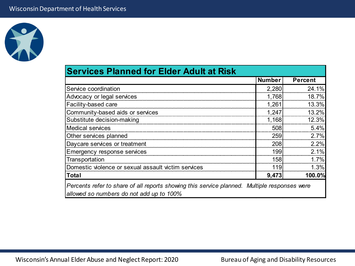

| <b>Services Planned for Elder Adult at Risk</b>                                                                                          |               |                |
|------------------------------------------------------------------------------------------------------------------------------------------|---------------|----------------|
|                                                                                                                                          | <b>Number</b> | <b>Percent</b> |
| Service coordination                                                                                                                     | 2,280         | 24.1%          |
| Advocacy or legal services                                                                                                               | 1,768         | 18.7%          |
| Facility-based care                                                                                                                      | 1,261         | 13.3%          |
| Community-based aids or services                                                                                                         | 1,247         | 13.2%          |
| Substitute decision-making                                                                                                               | 1,168         | 12.3%          |
| <b>Medical services</b>                                                                                                                  | 508           | 5.4%           |
| Other services planned                                                                                                                   | 259           | 2.7%           |
| Daycare services or treatment                                                                                                            | 208           | 2.2%           |
| Emergency response services                                                                                                              | 199           | 2.1%           |
| Transportation                                                                                                                           | 158           | 1.7%           |
| Domestic violence or sexual assault victim services                                                                                      | 119           | 1.3%           |
| Total                                                                                                                                    | 9,473         | 100.0%         |
| Percents refer to share of all reports showing this service planned. Multiple responses were<br>allowed so numbers do not add up to 100% |               |                |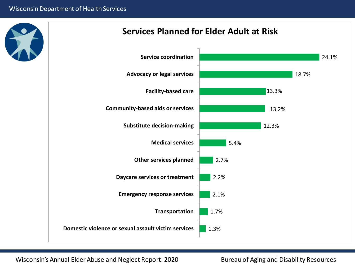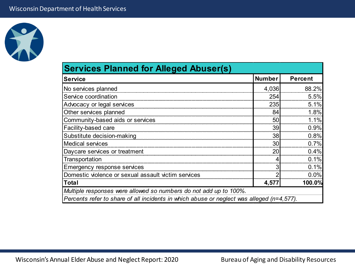

| <b>Services Planned for Alleged Abuser(s)</b>                                             |        |                |
|-------------------------------------------------------------------------------------------|--------|----------------|
| <b>Service</b>                                                                            | Number | <b>Percent</b> |
| No services planned                                                                       | 4,036  | 88.2%          |
| Service coordination                                                                      | 254    | 5.5%           |
| Advocacy or legal services                                                                | 235    | 5.1%           |
| Other services planned                                                                    | 84     | 1.8%           |
| Community-based aids or services                                                          | 50     | 1.1%           |
| Facility-based care                                                                       | 39     | 0.9%           |
| Substitute decision-making                                                                | 38     | 0.8%           |
| <b>Medical services</b>                                                                   | 30     | 0.7%           |
| Daycare services or treatment                                                             | 20     | 0.4%           |
| Transportation                                                                            |        | 0.1%           |
| Emergency response services                                                               |        | 0.1%           |
| Domestic violence or sexual assault victim services                                       |        | 0.0%           |
| Total                                                                                     | 4,577  | 100.0%         |
| Multiple responses were allowed so numbers do not add up to 100%.                         |        |                |
| Percents refer to share of all incidents in which abuse or neglect was alleged (n=4,577). |        |                |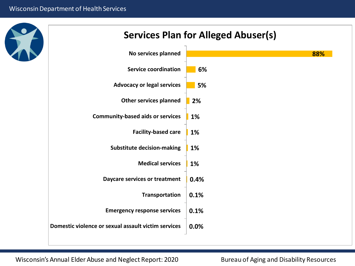